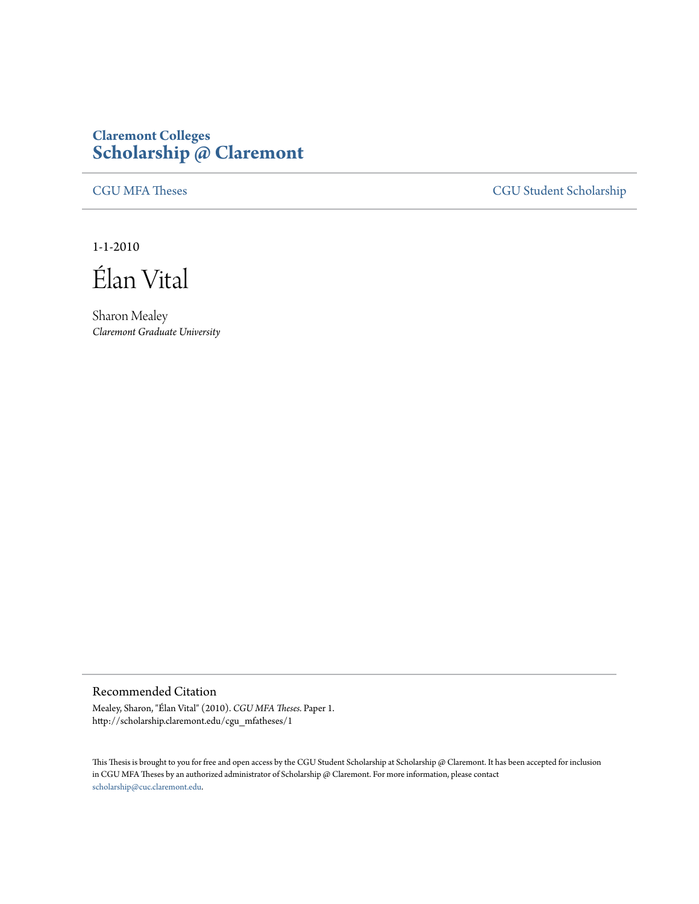## **Claremont Colleges [Scholarship @ Claremont](http://scholarship.claremont.edu)**

[CGU MFA Theses](http://scholarship.claremont.edu/cgu_mfatheses) [CGU Student Scholarship](http://scholarship.claremont.edu/cgu_student)

1-1-2010

Élan Vital

Sharon Mealey *Claremont Graduate University*

## Recommended Citation

Mealey, Sharon, "Élan Vital" (2010). *CGU MFA Theses.* Paper 1. http://scholarship.claremont.edu/cgu\_mfatheses/1

This Thesis is brought to you for free and open access by the CGU Student Scholarship at Scholarship @ Claremont. It has been accepted for inclusion in CGU MFA Theses by an authorized administrator of Scholarship @ Claremont. For more information, please contact [scholarship@cuc.claremont.edu.](mailto:scholarship@cuc.claremont.edu)